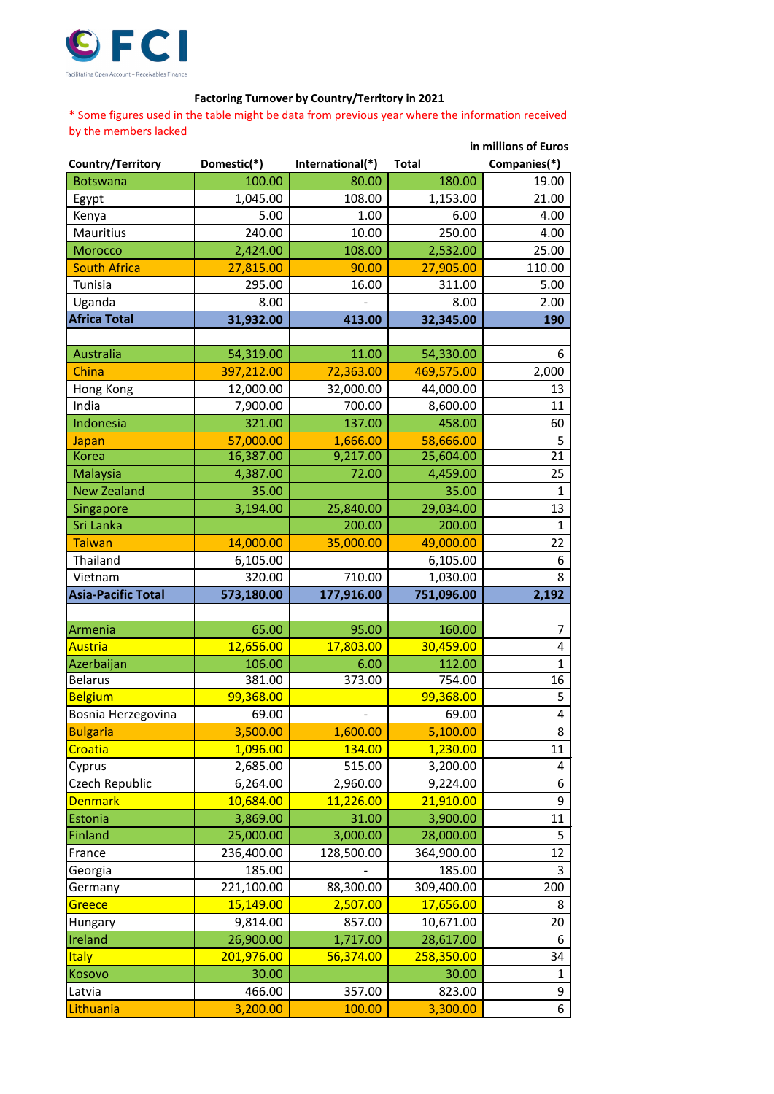

## **Factoring Turnover by Country/Territory in 2021**

\* Some figures used in the table might be data from previous year where the information received by the members lacked

|                           |             | in millions of Euros             |            |                |  |
|---------------------------|-------------|----------------------------------|------------|----------------|--|
| Country/Territory         | Domestic(*) | International(*)<br><b>Total</b> |            | Companies(*)   |  |
| <b>Botswana</b>           | 100.00      | 80.00                            | 180.00     | 19.00          |  |
| Egypt                     | 1,045.00    | 108.00                           | 1,153.00   | 21.00          |  |
| Kenya                     | 5.00        | 1.00                             | 6.00       | 4.00           |  |
| <b>Mauritius</b>          | 240.00      | 10.00                            | 250.00     | 4.00           |  |
| <b>Morocco</b>            | 2,424.00    | 108.00                           | 2,532.00   | 25.00          |  |
| <b>South Africa</b>       | 27,815.00   | 90.00                            | 27,905.00  | 110.00         |  |
| Tunisia                   | 295.00      | 16.00                            | 311.00     | 5.00           |  |
| Uganda                    | 8.00        |                                  | 8.00       | 2.00           |  |
| <b>Africa Total</b>       | 31,932.00   | 413.00                           | 32,345.00  | 190            |  |
|                           |             |                                  |            |                |  |
| Australia                 | 54,319.00   | 11.00                            | 54,330.00  | 6              |  |
| China                     | 397,212.00  | 72,363.00                        | 469,575.00 | 2,000          |  |
| Hong Kong                 | 12,000.00   | 32,000.00                        | 44,000.00  | 13             |  |
| India                     | 7,900.00    | 700.00                           | 8,600.00   | 11             |  |
| Indonesia                 | 321.00      | 137.00                           | 458.00     | 60             |  |
| Japan                     | 57,000.00   | 1,666.00                         | 58,666.00  | 5              |  |
| <b>Korea</b>              | 16,387.00   | 9,217.00                         | 25,604.00  | 21             |  |
| Malaysia                  | 4,387.00    | 72.00                            | 4,459.00   | 25             |  |
| <b>New Zealand</b>        | 35.00       |                                  | 35.00      | 1              |  |
| Singapore                 | 3,194.00    | 25,840.00                        | 29,034.00  | 13             |  |
| Sri Lanka                 |             | 200.00                           | 200.00     | 1              |  |
| <b>Taiwan</b>             | 14,000.00   | 35,000.00                        | 49,000.00  | 22             |  |
| Thailand                  | 6,105.00    |                                  | 6,105.00   | 6              |  |
| Vietnam                   | 320.00      | 710.00                           | 1,030.00   | 8              |  |
| <b>Asia-Pacific Total</b> | 573,180.00  | 177,916.00                       | 751,096.00 | 2,192          |  |
|                           |             |                                  |            |                |  |
| Armenia                   | 65.00       | 95.00                            | 160.00     | $\overline{7}$ |  |
| <u> Austria</u>           | 12,656.00   | 17,803.00                        | 30,459.00  | 4              |  |
| Azerbaijan                | 106.00      | 6.00                             | 112.00     | $\mathbf 1$    |  |
| <b>Belarus</b>            | 381.00      | 373.00                           | 754.00     | 16             |  |
| <b>Belgium</b>            | 99,368.00   |                                  | 99,368.00  | 5              |  |
| Bosnia Herzegovina        | 69.00       |                                  | 69.00      | $\overline{4}$ |  |
| <b>Bulgaria</b>           | 3,500.00    | 1,600.00                         | 5,100.00   | 8              |  |
| Croatia                   | 1,096.00    | 134.00                           | 1,230.00   | 11             |  |
| Cyprus                    | 2,685.00    | 515.00                           | 3,200.00   | 4              |  |
| Czech Republic            | 6,264.00    | 2,960.00                         | 9,224.00   | 6              |  |
| <b>Denmark</b>            | 10,684.00   | 11,226.00                        | 21,910.00  | 9              |  |
| Estonia                   | 3,869.00    | 31.00                            | 3,900.00   | 11             |  |
| Finland                   | 25,000.00   | 3,000.00                         | 28,000.00  | 5              |  |
| France                    | 236,400.00  | 128,500.00                       | 364,900.00 | 12             |  |
| Georgia                   | 185.00      |                                  | 185.00     | 3              |  |
| Germany                   | 221,100.00  | 88,300.00                        | 309,400.00 | 200            |  |
| Greece                    | 15,149.00   | 2,507.00                         | 17,656.00  | 8              |  |
| Hungary                   | 9,814.00    | 857.00                           | 10,671.00  | 20             |  |
| Ireland                   | 26,900.00   | 1,717.00                         | 28,617.00  | 6              |  |
| <b>Italy</b>              | 201,976.00  | 56,374.00                        | 258,350.00 | 34             |  |
| Kosovo                    | 30.00       |                                  | 30.00      | $\mathbf{1}$   |  |
| Latvia                    | 466.00      | 357.00                           | 823.00     | 9              |  |
| Lithuania                 | 3,200.00    | 100.00                           | 3,300.00   | 6              |  |
|                           |             |                                  |            |                |  |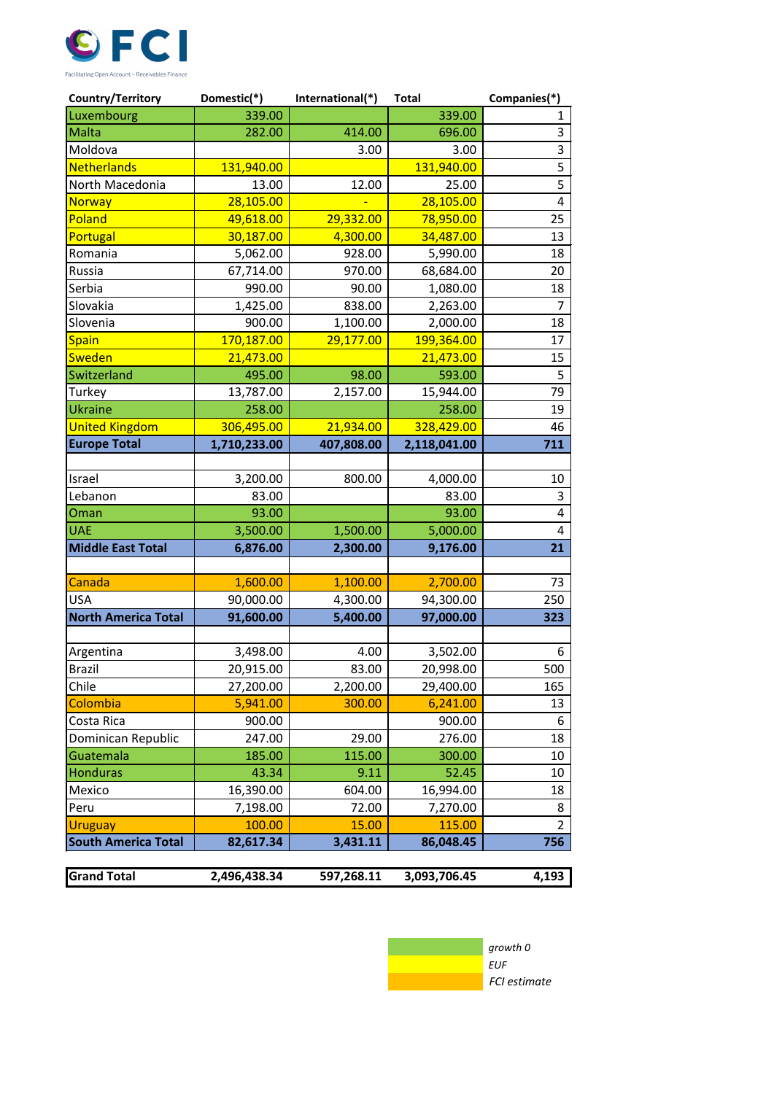

| Country/Territory          | Domestic(*)  | International(*)<br><b>Total</b> |              | Companies(*)   |
|----------------------------|--------------|----------------------------------|--------------|----------------|
| Luxembourg                 | 339.00       |                                  | 339.00       | 1              |
| Malta                      | 282.00       | 414.00                           | 696.00       | 3              |
| Moldova                    |              | 3.00<br>3.00                     |              | 3              |
| <b>Netherlands</b>         | 131,940.00   | 131,940.00                       |              | $\overline{5}$ |
| North Macedonia            | 13.00        | 12.00                            | 25.00        | 5              |
| <b>Norway</b>              | 28,105.00    |                                  | 28,105.00    | $\overline{4}$ |
| Poland                     | 49,618.00    | 29,332.00                        | 78,950.00    | 25             |
| Portugal                   | 30,187.00    | 4,300.00                         | 34,487.00    | 13             |
| Romania                    | 5,062.00     | 928.00                           | 5,990.00     | 18             |
| Russia                     | 67,714.00    | 970.00                           | 68,684.00    | 20             |
| Serbia                     | 990.00       | 90.00                            | 1,080.00     | 18             |
| Slovakia                   | 1,425.00     | 838.00                           | 2,263.00     | $\overline{7}$ |
| Slovenia                   | 900.00       | 1,100.00                         | 2,000.00     | 18             |
| <b>Spain</b>               | 170,187.00   | 29,177.00                        | 199,364.00   | 17             |
| <b>Sweden</b>              | 21,473.00    |                                  | 21,473.00    | 15             |
| Switzerland                | 495.00       | 98.00                            | 593.00       | 5              |
| Turkey                     | 13,787.00    | 15,944.00<br>2,157.00            |              | 79             |
| Ukraine                    | 258.00       |                                  | 258.00       | 19             |
| <b>United Kingdom</b>      | 306,495.00   | 21,934.00                        | 328,429.00   | 46             |
| <b>Europe Total</b>        | 1,710,233.00 | 407,808.00                       | 2,118,041.00 | 711            |
|                            |              |                                  |              |                |
| Israel                     | 3,200.00     | 800.00                           | 4,000.00     | 10             |
| Lebanon                    | 83.00        |                                  | 83.00        | 3              |
| Oman                       | 93.00        |                                  | 93.00        | $\overline{4}$ |
| <b>UAE</b>                 | 3,500.00     | 1,500.00                         | 5,000.00     | $\overline{4}$ |
| <b>Middle East Total</b>   | 6,876.00     | 2,300.00                         | 9,176.00     | 21             |
|                            |              |                                  |              |                |
| Canada                     | 1,600.00     | 1,100.00                         | 2,700.00     | 73             |
| USA                        | 90,000.00    | 4,300.00                         | 94,300.00    | 250            |
| <b>North America Total</b> | 91,600.00    | 5,400.00                         | 97,000.00    | 323            |
|                            |              |                                  |              |                |
| Argentina                  | 3,498.00     | 4.00                             | 3,502.00     | 6              |
| <b>Brazil</b>              | 20,915.00    | 83.00                            | 20,998.00    | 500            |
| Chile                      | 27,200.00    | 2,200.00                         | 29,400.00    | 165            |
| Colombia                   | 5,941.00     | 300.00                           | 6,241.00     | 13             |
| Costa Rica                 | 900.00       |                                  | 900.00       | 6              |
| Dominican Republic         | 247.00       | 29.00                            | 276.00       | 18             |
| Guatemala                  | 185.00       | 115.00                           | 300.00       | 10             |
| <b>Honduras</b>            | 43.34        | 9.11                             | 52.45        | 10             |
| Mexico                     | 16,390.00    | 604.00<br>16,994.00              |              | 18             |
| Peru                       | 7,198.00     | 72.00<br>7,270.00                |              | 8              |
| <b>Uruguay</b>             | 100.00       | 15.00<br>115.00                  |              | $\overline{2}$ |
| <b>South America Total</b> | 82,617.34    | 3,431.11                         | 86,048.45    | 756            |
|                            |              |                                  |              |                |
| <b>Grand Total</b>         | 2,496,438.34 | 597,268.11                       | 3,093,706.45 | 4,193          |

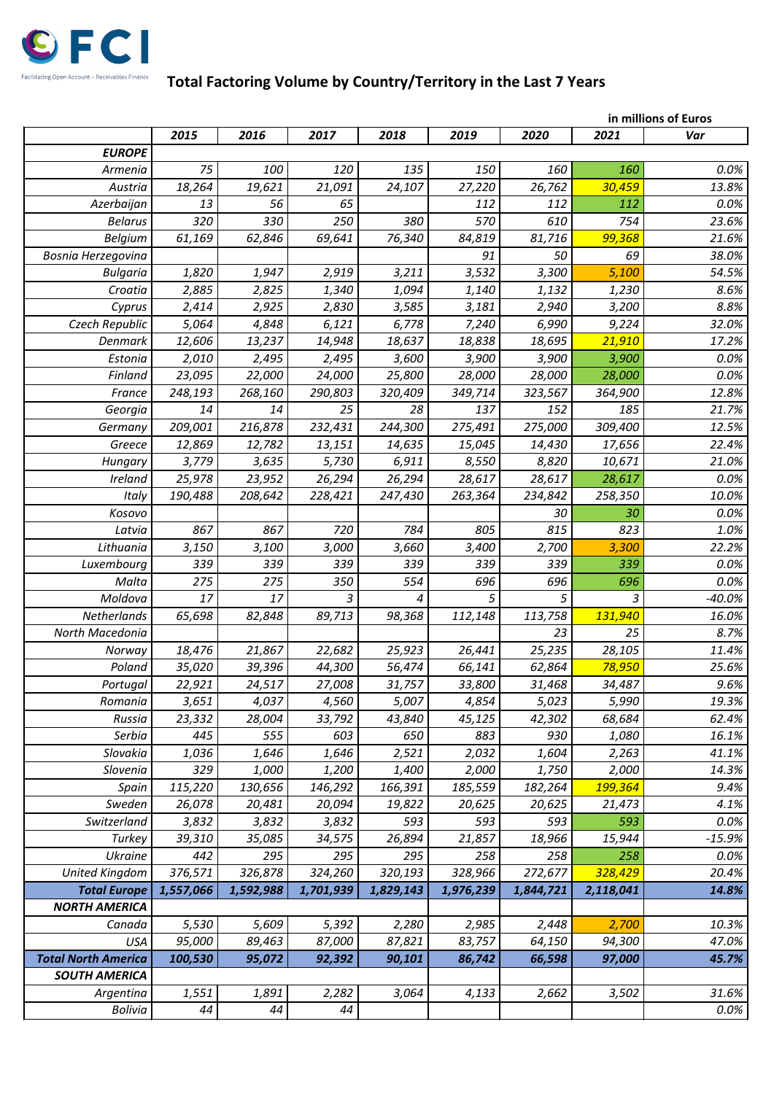

## **Total Factoring Volume by Country/Territory in the Last 7 Years**

|                            | in millions of Euros |           |           |           |           |           |           |          |
|----------------------------|----------------------|-----------|-----------|-----------|-----------|-----------|-----------|----------|
|                            | 2015                 | 2016      | 2017      | 2018      | 2019      | 2020      | 2021      | Var      |
| <b>EUROPE</b>              |                      |           |           |           |           |           |           |          |
| Armenia                    | 75                   | 100       | 120       | 135       | 150       | 160       | 160       | 0.0%     |
| Austria                    | 18,264               | 19,621    | 21,091    | 24,107    | 27,220    | 26,762    | 30,459    | 13.8%    |
| Azerbaijan                 | 13                   | 56        | 65        |           | 112       | 112       | 112       | 0.0%     |
| <b>Belarus</b>             | 320                  | 330       | 250       | 380       | 570       | 610       | 754       | 23.6%    |
| <b>Belgium</b>             | 61,169               | 62,846    | 69,641    | 76,340    | 84,819    | 81,716    | 99,368    | 21.6%    |
| Bosnia Herzegovina         |                      |           |           |           | 91        | 50        | 69        | 38.0%    |
| <b>Bulgaria</b>            | 1,820                | 1,947     | 2,919     | 3,211     | 3,532     | 3,300     | 5,100     | 54.5%    |
| Croatia                    | 2,885                | 2,825     | 1,340     | 1,094     | 1,140     | 1,132     | 1,230     | 8.6%     |
| Cyprus                     | 2,414                | 2,925     | 2,830     | 3,585     | 3,181     | 2,940     | 3,200     | 8.8%     |
| Czech Republic             | 5,064                | 4,848     | 6,121     | 6,778     | 7,240     | 6,990     | 9,224     | 32.0%    |
| Denmark                    | 12,606               | 13,237    | 14,948    | 18,637    | 18,838    | 18,695    | 21,910    | 17.2%    |
| Estonia                    | 2,010                | 2,495     | 2,495     | 3,600     | 3,900     | 3,900     | 3,900     | 0.0%     |
| Finland                    | 23,095               | 22,000    | 24,000    | 25,800    | 28,000    | 28,000    | 28,000    | 0.0%     |
| France                     | 248,193              | 268,160   | 290,803   | 320,409   | 349,714   | 323,567   | 364,900   | 12.8%    |
| Georgia                    | 14                   | 14        | 25        | 28        | 137       | 152       | 185       | 21.7%    |
| Germany                    | 209,001              | 216,878   | 232,431   | 244,300   | 275,491   | 275,000   | 309,400   | 12.5%    |
| Greece                     | 12,869               | 12,782    | 13,151    | 14,635    | 15,045    | 14,430    | 17,656    | 22.4%    |
| Hungary                    | 3,779                | 3,635     | 5,730     | 6,911     | 8,550     | 8,820     | 10,671    | 21.0%    |
| Ireland                    | 25,978               | 23,952    | 26,294    | 26,294    | 28,617    | 28,617    | 28,617    | 0.0%     |
| Italy                      | 190,488              | 208,642   | 228,421   | 247,430   | 263,364   | 234,842   | 258,350   | 10.0%    |
| Kosovo                     |                      |           |           |           |           | 30        | 30        | 0.0%     |
| Latvia                     | 867                  | 867       | 720       | 784       | 805       | 815       | 823       | 1.0%     |
| Lithuania                  | 3,150                | 3,100     | 3,000     | 3,660     | 3,400     | 2,700     | 3,300     | 22.2%    |
| Luxembourg                 | 339                  | 339       | 339       | 339       | 339       | 339       | 339       | 0.0%     |
| Malta                      | 275                  | 275       | 350       | 554       | 696       | 696       | 696       | 0.0%     |
| Moldova                    | 17                   | 17        | 3         | 4         | 5         | 5         | 3         | $-40.0%$ |
| Netherlands                | 65,698               | 82,848    | 89,713    | 98,368    | 112,148   | 113,758   | 131,940   | 16.0%    |
| North Macedonia            |                      |           |           |           |           | 23        | 25        | 8.7%     |
| Norway                     | 18,476               | 21,867    | 22,682    | 25,923    | 26,441    | 25,235    | 28,105    | 11.4%    |
| Poland                     | 35,020               | 39,396    | 44,300    | 56,474    | 66,141    | 62,864    | 78,950    | 25.6%    |
| Portugal                   | 22,921               | 24,517    | 27,008    | 31,757    | 33,800    | 31,468    | 34,487    | 9.6%     |
| Romania                    | 3,651                | 4,037     | 4,560     | 5,007     | 4,854     | 5,023     | 5,990     | 19.3%    |
| Russia                     | 23,332               | 28,004    | 33,792    | 43,840    | 45,125    | 42,302    | 68,684    | 62.4%    |
| Serbia                     | 445                  | 555       | 603       | 650       | 883       | 930       | 1,080     | 16.1%    |
| Slovakia                   | 1,036                | 1,646     | 1,646     | 2,521     | 2,032     | 1,604     | 2,263     | 41.1%    |
| Slovenia                   | 329                  | 1,000     | 1,200     | 1,400     | 2,000     | 1,750     | 2,000     | 14.3%    |
| Spain                      | 115,220              | 130,656   | 146,292   | 166,391   | 185,559   | 182,264   | 199,364   | 9.4%     |
| Sweden                     | 26,078               | 20,481    | 20,094    | 19,822    | 20,625    | 20,625    | 21,473    | 4.1%     |
| Switzerland                | 3,832                | 3,832     | 3,832     | 593       | 593       | 593       | 593       | 0.0%     |
| Turkey                     | 39,310               | 35,085    | 34,575    | 26,894    | 21,857    | 18,966    | 15,944    | $-15.9%$ |
| <b>Ukraine</b>             | 442                  | 295       | 295       | 295       | 258       | 258       | 258       | 0.0%     |
| <b>United Kingdom</b>      | 376,571              | 326,878   | 324,260   | 320,193   | 328,966   | 272,677   | 328,429   | 20.4%    |
| <b>Total Europe</b>        | 1,557,066            | 1,592,988 | 1,701,939 | 1,829,143 | 1,976,239 | 1,844,721 | 2,118,041 | 14.8%    |
| <b>NORTH AMERICA</b>       |                      |           |           |           |           |           |           |          |
| Canada                     | 5,530                | 5,609     | 5,392     | 2,280     | 2,985     | 2,448     | 2,700     | 10.3%    |
| <b>USA</b>                 | 95,000               | 89,463    | 87,000    | 87,821    | 83,757    | 64,150    | 94,300    | 47.0%    |
| <b>Total North America</b> | 100,530              | 95,072    | 92,392    | 90,101    | 86,742    | 66,598    | 97,000    | 45.7%    |
| <b>SOUTH AMERICA</b>       |                      |           |           |           |           |           |           |          |
| Argentina                  | 1,551                | 1,891     | 2,282     | 3,064     | 4,133     | 2,662     | 3,502     | 31.6%    |
| <b>Bolivia</b>             | 44                   | 44        | 44        |           |           |           |           | 0.0%     |